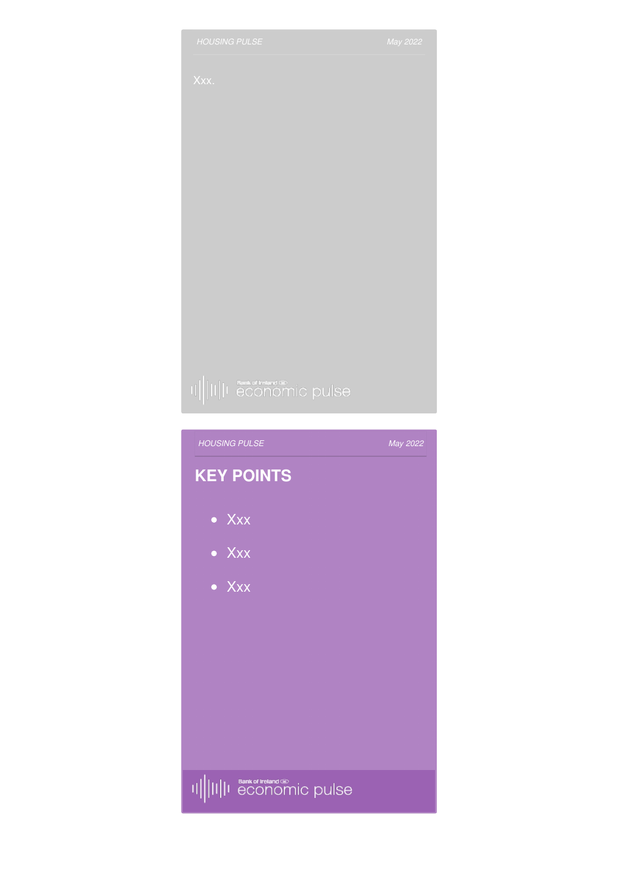



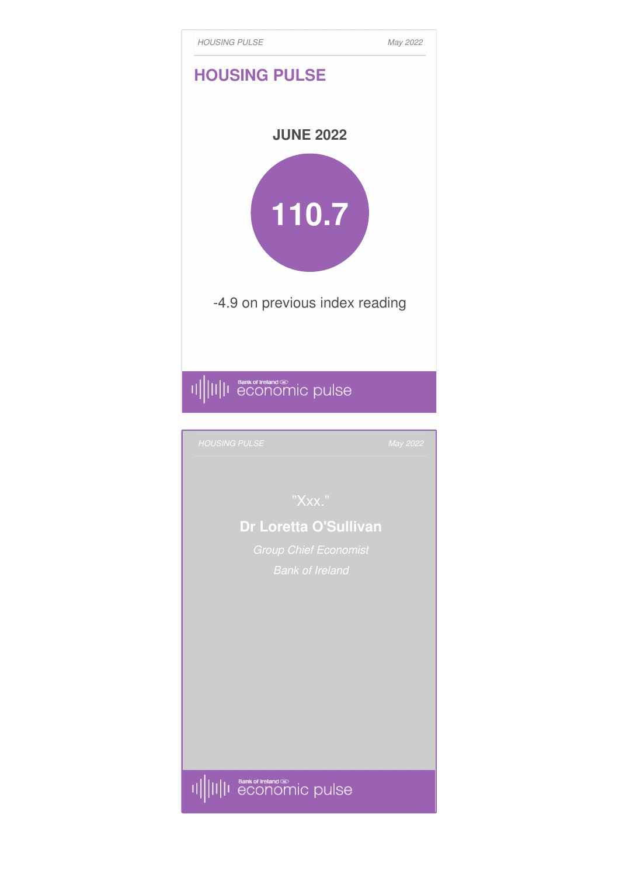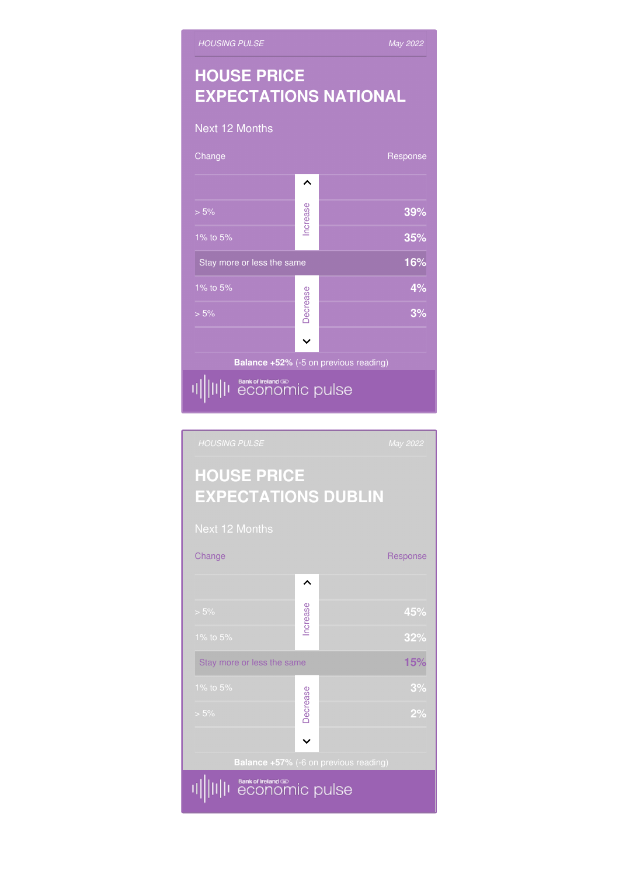# Increase > 5% **45% Stay more or less the same 15%** 1% to 5% **3%** Decrease > 5% **2%**  $\checkmark$ II||I Bank of Ireland on<br>|II||I economic pulse 咖

Change **Response** Response

 $\hat{\phantom{1}}$ 

## **HOUSE PRICE EXPECTATIONS DUBLIN**

### Next 12 Months Change Response Response  $\lambda$ Increase > 5% **39%** 1% to 5% **35%** Stay more or less the same **16%** 1% to 5% **4%** Decrease > 5% **3%**  $\overline{\mathbf{v}}$ **Balance +52%** (-5 on previous reading) II||II||I economic pulse

**EXPECTATIONS NATIONAL**

**HOUSE PRICE** *[HOUSING](http://staging.bankofirelandeconomicpulse.com/housing/#prices) PULSE*

*May 2022*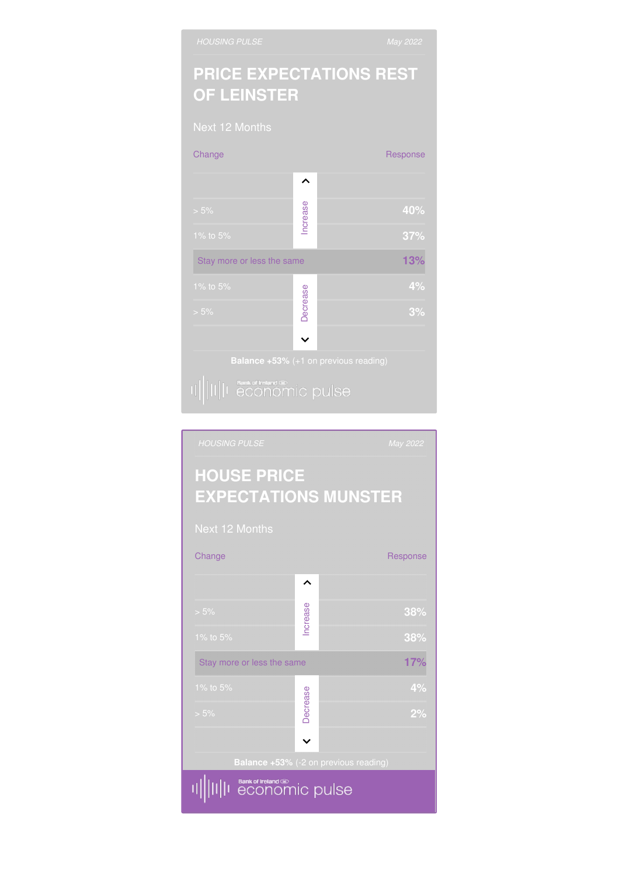# **PRICE EXPECTATIONS REST OF LEINSTER**



# **HOUSE PRICE EXPECTATIONS MUNSTER** Change Response  $\hat{}$ Increase > 5% **38% Stay more or less the same <b>17%** 1% to 5% **4%** Decrease > 5% **2%**  $\checkmark$ Bank of tretand on ic pulse 珊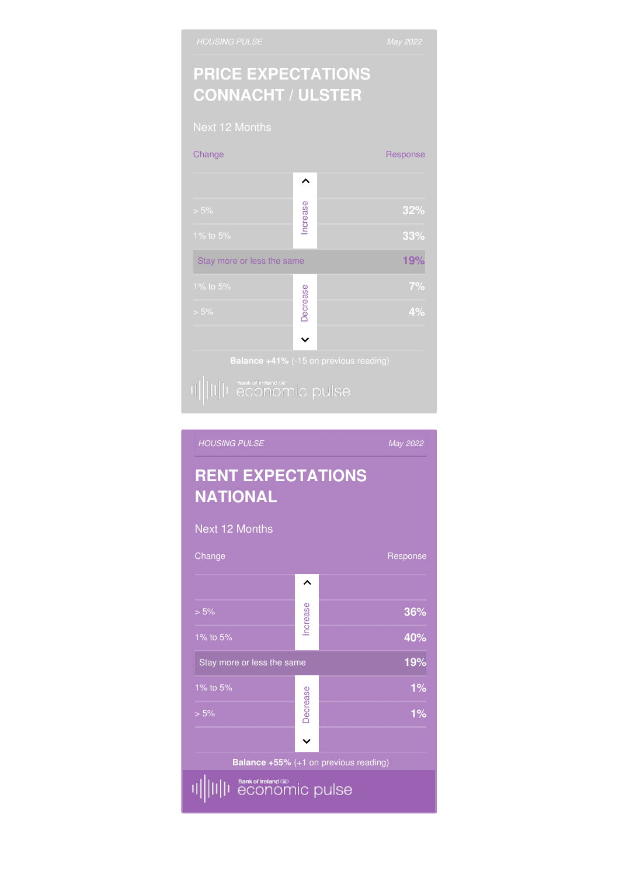## **PRICE EXPECTATIONS CONNACHT / ULSTER**



### *[HOUSING](http://staging.bankofirelandeconomicpulse.com/housing/#rents) PULSEMay 2022* **RENT EXPECTATIONS NATIONAL** Next 12 Months Change Response Response  $\hat{}$ Increase > 5% **36%** 1% to 5% **40%** Stay more or less the same **19%** 1% to 5% **1%** Decrease > 5% **1%**  $\ddot{\phantom{0}}$ **Balance +55%** (+1 on previous reading) Bank of tretand on<br> **economic** pulse ΠШ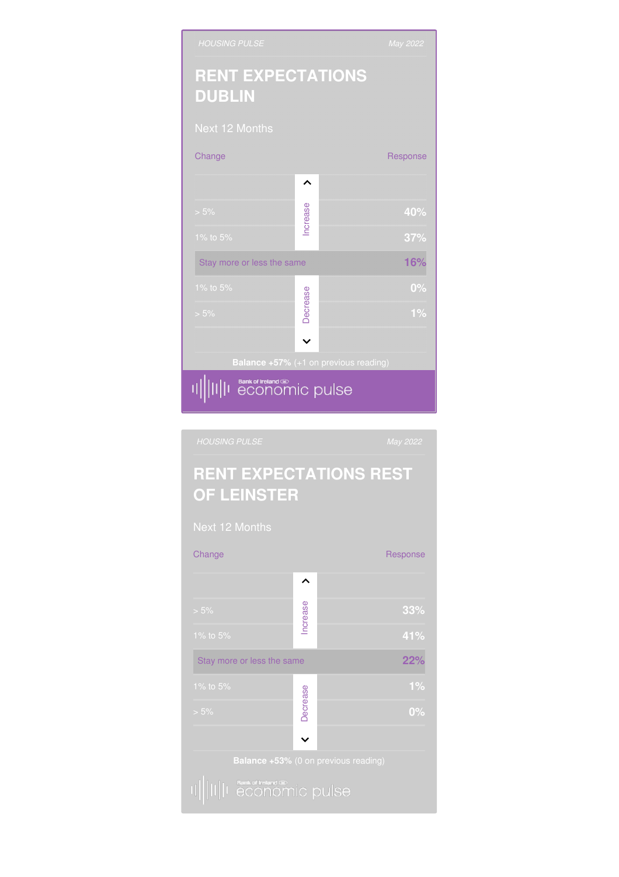

### **RENT EXPECTATIONS REST OF LEINSTER**

Change **Response** Response

 $\hat{\phantom{1}}$ 

**Stay more or less the same <b>22%** 

1% to 5% **1%**

> 5% **0%** Decrease

 $\checkmark$ 

> 5% **33%** Increase